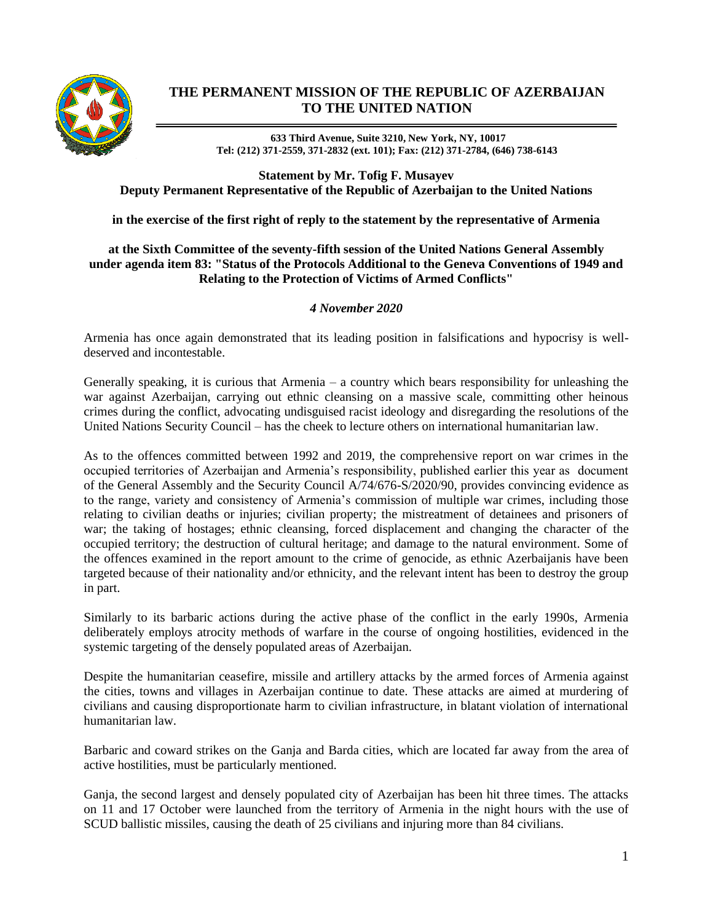

## **THE PERMANENT MISSION OF THE REPUBLIC OF AZERBAIJAN TO THE UNITED NATION**

**633 Third Avenue, Suite 3210, New York, NY, 10017 Tel: (212) 371-2559, 371-2832 (ext. 101); Fax: (212) 371-2784, (646) 738-6143**

**Statement by Mr. Tofig F. Musayev Deputy Permanent Representative of the Republic of Azerbaijan to the United Nations**

**in the exercise of the first right of reply to the statement by the representative of Armenia**

## **at the Sixth Committee of the seventy-fifth session of the United Nations General Assembly under agenda item 83: "Status of the Protocols Additional to the Geneva Conventions of 1949 and Relating to the Protection of Victims of Armed Conflicts"**

## *4 November 2020*

Armenia has once again demonstrated that its leading position in falsifications and hypocrisy is welldeserved and incontestable.

Generally speaking, it is curious that Armenia  $-$  a country which bears responsibility for unleashing the war against Azerbaijan, carrying out ethnic cleansing on a massive scale, committing other heinous crimes during the conflict, advocating undisguised racist ideology and disregarding the resolutions of the United Nations Security Council – has the cheek to lecture others on international humanitarian law.

As to the offences committed between 1992 and 2019, the comprehensive report on war crimes in the occupied territories of Azerbaijan and Armenia's responsibility, published earlier this year as document of the General Assembly and the Security Council A/74/676-S/2020/90, provides convincing evidence as to the range, variety and consistency of Armenia's commission of multiple war crimes, including those relating to civilian deaths or injuries; civilian property; the mistreatment of detainees and prisoners of war; the taking of hostages; ethnic cleansing, forced displacement and changing the character of the occupied territory; the destruction of cultural heritage; and damage to the natural environment. Some of the offences examined in the report amount to the crime of genocide, as ethnic Azerbaijanis have been targeted because of their nationality and/or ethnicity, and the relevant intent has been to destroy the group in part.

Similarly to its barbaric actions during the active phase of the conflict in the early 1990s, Armenia deliberately employs atrocity methods of warfare in the course of ongoing hostilities, evidenced in the systemic targeting of the densely populated areas of Azerbaijan.

Despite the humanitarian ceasefire, missile and artillery attacks by the armed forces of Armenia against the cities, towns and villages in Azerbaijan continue to date. These attacks are aimed at murdering of civilians and causing disproportionate harm to civilian infrastructure, in blatant violation of international humanitarian law.

Barbaric and coward strikes on the Ganja and Barda cities, which are located far away from the area of active hostilities, must be particularly mentioned.

Ganja, the second largest and densely populated city of Azerbaijan has been hit three times. The attacks on 11 and 17 October were launched from the territory of Armenia in the night hours with the use of SCUD ballistic missiles, causing the death of 25 civilians and injuring more than 84 civilians.